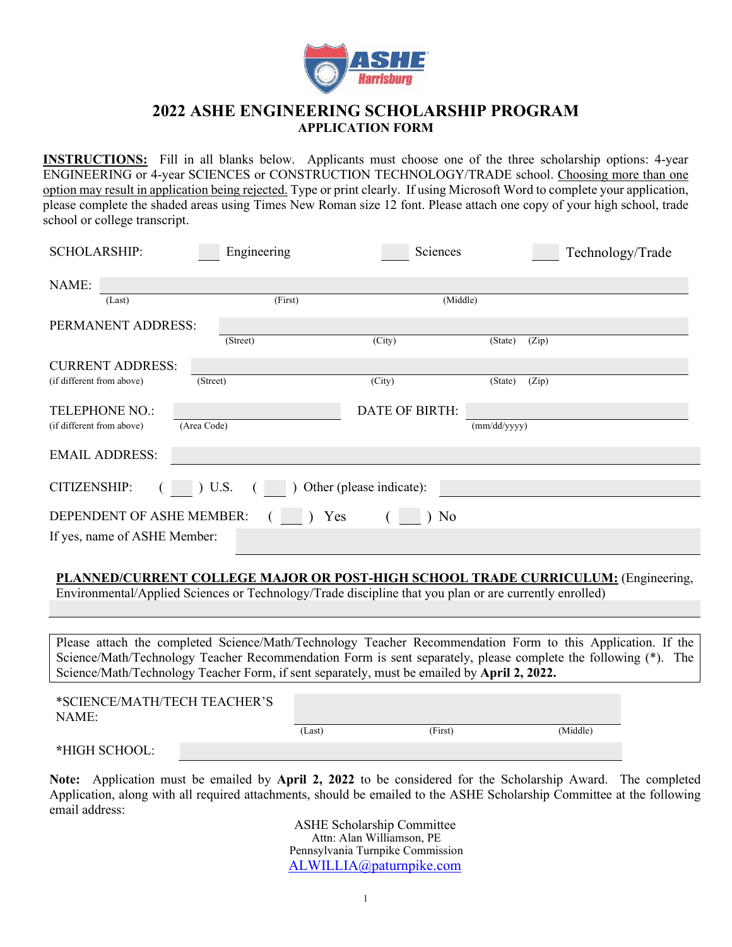

## **2022 ASHE ENGINEERING SCHOLARSHIP PROGRAM APPLICATION FORM**

**INSTRUCTIONS:** Fill in all blanks below. Applicants must choose one of the three scholarship options: 4-year ENGINEERING or 4-year SCIENCES or CONSTRUCTION TECHNOLOGY/TRADE school. Choosing more than one option may result in application being rejected. Type or print clearly. If using Microsoft Word to complete your application, please complete the shaded areas using Times New Roman size 12 font. Please attach one copy of your high school, trade school or college transcript.

| <b>SCHOLARSHIP:</b>                                  | Engineering | Sciences              |              |       | Technology/Trade |  |  |  |
|------------------------------------------------------|-------------|-----------------------|--------------|-------|------------------|--|--|--|
| NAME:                                                |             |                       |              |       |                  |  |  |  |
| (Last)                                               | (First)     | (Middle)              |              |       |                  |  |  |  |
| PERMANENT ADDRESS:                                   |             |                       |              |       |                  |  |  |  |
|                                                      | (Street)    | (City)                | (State)      | (Zip) |                  |  |  |  |
| <b>CURRENT ADDRESS:</b>                              |             |                       |              |       |                  |  |  |  |
| (if different from above)                            | (Street)    | (City)                | (State)      | (Zip) |                  |  |  |  |
| <b>TELEPHONE NO.:</b>                                |             | <b>DATE OF BIRTH:</b> |              |       |                  |  |  |  |
| (if different from above)                            | (Area Code) |                       | (mm/dd/yyyy) |       |                  |  |  |  |
| <b>EMAIL ADDRESS:</b>                                |             |                       |              |       |                  |  |  |  |
| ) Other (please indicate):<br>CITIZENSHIP:<br>) U.S. |             |                       |              |       |                  |  |  |  |
| DEPENDENT OF ASHE MEMBER:<br>Yes<br>No               |             |                       |              |       |                  |  |  |  |
| If yes, name of ASHE Member:                         |             |                       |              |       |                  |  |  |  |

## **PLANNED/CURRENT COLLEGE MAJOR OR POST-HIGH SCHOOL TRADE CURRICULUM:** (Engineering,

Environmental/Applied Sciences or Technology/Trade discipline that you plan or are currently enrolled)

Please attach the completed Science/Math/Technology Teacher Recommendation Form to this Application. If the Science/Math/Technology Teacher Recommendation Form is sent separately, please complete the following (\*). The Science/Math/Technology Teacher Form, if sent separately, must be emailed by **April 2, 2022.**

| *SCIENCE/MATH/TECH TEACHER'S<br>NAME: |  |        |         |          |
|---------------------------------------|--|--------|---------|----------|
|                                       |  | (Last) | (First) | (Middle) |
| *HIGH SCHOOL:                         |  |        |         |          |

**Note:** Application must be emailed by **April 2, 2022** to be considered for the Scholarship Award. The completed Application, along with all required attachments, should be emailed to the ASHE Scholarship Committee at the following email address:

> ASHE Scholarship Committee Attn: Alan Williamson, PE Pennsylvania Turnpike Commission ALWILLIA@paturnpike.com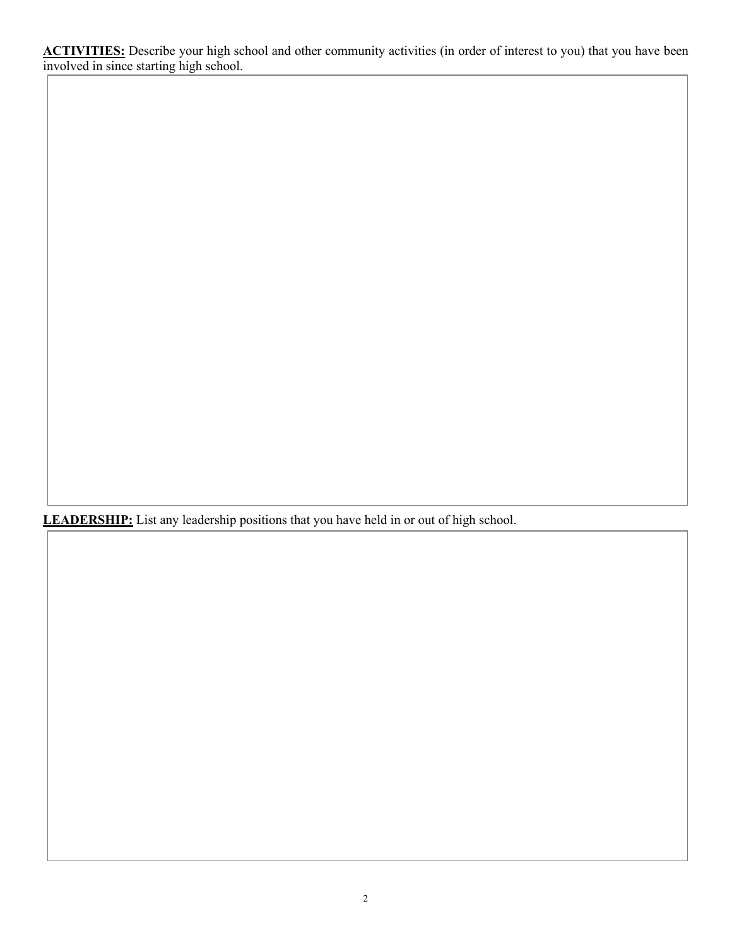**ACTIVITIES:** Describe your high school and other community activities (in order of interest to you) that you have been involved in since starting high school.

**LEADERSHIP:** List any leadership positions that you have held in or out of high school.